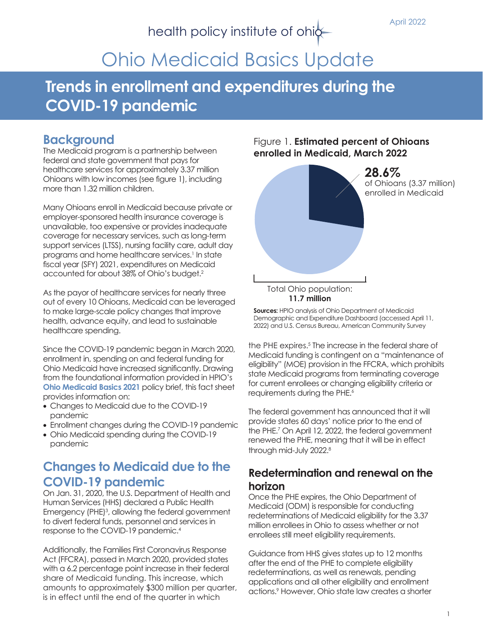April 2022

# health policy institute of ohic-

# Ohio Medicaid Basics Update

# **Trends in enrollment and expenditures during the COVID-19 pandemic**

### **Background**

The Medicaid program is a partnership between federal and state government that pays for healthcare services for approximately 3.37 million Ohioans with low incomes (see figure 1), including more than 1.32 million children.

Many Ohioans enroll in Medicaid because private or employer-sponsored health insurance coverage is unavailable, too expensive or provides inadequate coverage for necessary services, such as long-term support services (LTSS), nursing facility care, adult day programs and home healthcare services.<sup>1</sup> In state fiscal year (SFY) 2021, expenditures on Medicaid accounted for about 38% of Ohio's budget.2

As the payor of healthcare services for nearly three out of every 10 Ohioans, Medicaid can be leveraged to make large-scale policy changes that improve health, advance equity, and lead to sustainable healthcare spending.

Since the COVID-19 pandemic began in March 2020, enrollment in, spending on and federal funding for Ohio Medicaid have increased significantly. Drawing from the foundational information provided in HPIO's **[Ohio Medicaid Basics 2021](https://www.healthpolicyohio.org/ohio-medicaid-basics-2021/)** policy brief, this fact sheet provides information on:

- Changes to Medicaid due to the COVID-19 pandemic
- Enrollment changes during the COVID-19 pandemic
- Ohio Medicaid spending during the COVID-19 pandemic

## **Changes to Medicaid due to the COVID-19 pandemic**

On Jan. 31, 2020, the U.S. Department of Health and Human Services (HHS) declared a Public Health Emergency (PHE)<sup>3</sup>, allowing the federal government to divert federal funds, personnel and services in response to the COVID-19 pandemic.<sup>4</sup>

Additionally, the Families First Coronavirus Response Act (FFCRA), passed in March 2020, provided states with a 6.2 percentage point increase in their federal share of Medicaid funding. This increase, which amounts to approximately \$300 million per quarter, is in effect until the end of the quarter in which

#### Figure 1. **Estimated percent of Ohioans enrolled in Medicaid, March 2022**



**Sources:** HPIO analysis of Ohio Department of Medicaid Demographic and Expenditure Dashboard (accessed April 11, 2022) and U.S. Census Bureau, American Community Survey

the PHE expires.<sup>5</sup> The increase in the federal share of Medicaid funding is contingent on a "maintenance of eligibility" (MOE) provision in the FFCRA, which prohibits state Medicaid programs from terminating coverage for current enrollees or changing eligibility criteria or requirements during the PHE.<sup>6</sup>

The federal government has announced that it will provide states 60 days' notice prior to the end of the PHE.<sup>7</sup> On April 12, 2022, the federal government renewed the PHE, meaning that it will be in effect through mid-July 2022.8

### **Redetermination and renewal on the horizon**

Once the PHE expires, the Ohio Department of Medicaid (ODM) is responsible for conducting redeterminations of Medicaid eligibility for the 3.37 million enrollees in Ohio to assess whether or not enrollees still meet eligibility requirements.

Guidance from HHS gives states up to 12 months after the end of the PHE to complete eligibility redeterminations, as well as renewals, pending applications and all other eligibility and enrollment actions.<sup>9</sup> However, Ohio state law creates a shorter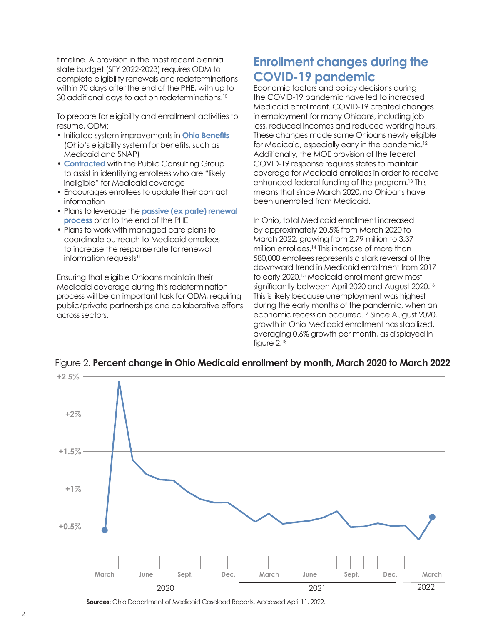timeline. A provision in the most recent biennial state budget (SFY 2022-2023) requires ODM to complete eligibility renewals and redeterminations within 90 days after the end of the PHE, with up to 30 additional days to act on redeterminations.10

To prepare for eligibility and enrollment activities to resume, ODM:

- Initiated system improvements in **[Ohio Benefits](https://benefits.ohio.gov/learn-more.html?lang=)** (Ohio's eligibility system for benefits, such as Medicaid and SNAP)
- **• [Contracted](https://www.publicconsultinggroup.com/health/for-state-health-medicaid-agencies/post-public-health-emergency-eligibility-redetermination-catch-up-services/)** with the Public Consulting Group to assist in identifying enrollees who are "likely ineligible" for Medicaid coverage
- Encourages enrollees to update their contact information
- Plans to leverage the **[passive \(ex parte\) renewal](https://www.kff.org/medicaid/state-indicator/medicaid-renewal-processes/?currentTimeframe=0&sortModel=%7B%22colId%22:%22Location%22,%22sort%22:%22asc%22%7D)  [process](https://www.kff.org/medicaid/state-indicator/medicaid-renewal-processes/?currentTimeframe=0&sortModel=%7B%22colId%22:%22Location%22,%22sort%22:%22asc%22%7D)** prior to the end of the PHE
- Plans to work with managed care plans to coordinate outreach to Medicaid enrollees to increase the response rate for renewal information requests<sup>11</sup>

Ensuring that eligible Ohioans maintain their Medicaid coverage during this redetermination process will be an important task for ODM, requiring public/private partnerships and collaborative efforts across sectors.

# **Enrollment changes during the COVID-19 pandemic**

Economic factors and policy decisions during the COVID-19 pandemic have led to increased Medicaid enrollment. COVID-19 created changes in employment for many Ohioans, including job loss, reduced incomes and reduced working hours. These changes made some Ohioans newly eligible for Medicaid, especially early in the pandemic.12 Additionally, the MOE provision of the federal COVID-19 response requires states to maintain coverage for Medicaid enrollees in order to receive enhanced federal funding of the program.13 This means that since March 2020, no Ohioans have been unenrolled from Medicaid.

In Ohio, total Medicaid enrollment increased by approximately 20.5% from March 2020 to March 2022, growing from 2.79 million to 3.37 million enrollees.<sup>14</sup> This increase of more than 580,000 enrollees represents a stark reversal of the downward trend in Medicaid enrollment from 2017 to early 2020.15 Medicaid enrollment grew most significantly between April 2020 and August 2020.<sup>16</sup> This is likely because unemployment was highest during the early months of the pandemic, when an economic recession occurred.17 Since August 2020, growth in Ohio Medicaid enrollment has stabilized, averaging 0.6% growth per month, as displayed in figure 2.18



Figure 2. **Percent change in Ohio Medicaid enrollment by month, March 2020 to March 2022**

**Sources:** Ohio Department of Medicaid Caseload Reports. Accessed April 11, 2022.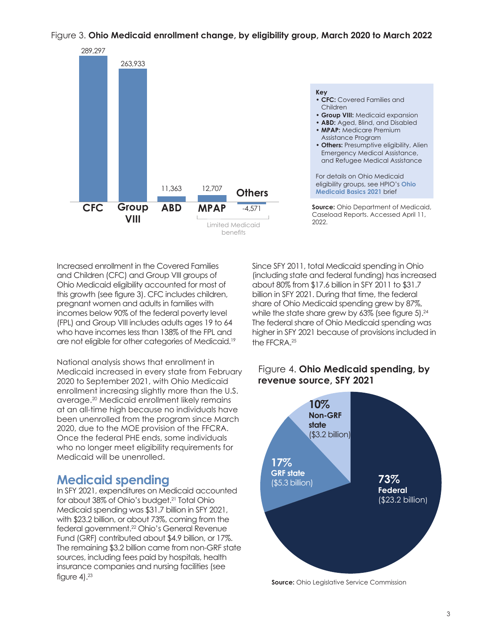#### Figure 3. **Ohio Medicaid enrollment change, by eligibility group, March 2020 to March 2022**



#### **Source:** Ohio Department of Medicaid, Caseload Reports. Accessed April 11, 2022. **Key • CFC:** Covered Families and Children **• Group VIII:** Medicaid expansion **• ABD:** Aged, Blind, and Disabled **• MPAP:** Medicare Premium Assistance Program **• Others:** Presumptive eligibility, Alien Emergency Medical Assistance, and Refugee Medical Assistance For details on Ohio Medicaid eligibility groups, see HPIO's **[Ohio](https://www.healthpolicyohio.org/ohio-medicaid-basics-2021/)  [Medicaid Basics 2021](https://www.healthpolicyohio.org/ohio-medicaid-basics-2021/)** brief

Increased enrollment in the Covered Families and Children (CFC) and Group VIII groups of Ohio Medicaid eligibility accounted for most of this growth (see figure 3). CFC includes children, pregnant women and adults in families with incomes below 90% of the federal poverty level (FPL) and Group VIII includes adults ages 19 to 64 who have incomes less than 138% of the FPL and are not eligible for other categories of Medicaid.<sup>19</sup>

National analysis shows that enrollment in Medicaid increased in every state from February 2020 to September 2021, with Ohio Medicaid enrollment increasing slightly more than the U.S. average.<sup>20</sup> Medicaid enrollment likely remains at an all-time high because no individuals have been unenrolled from the program since March 2020, due to the MOE provision of the FFCRA. Once the federal PHE ends, some individuals who no longer meet eligibility requirements for Medicaid will be unenrolled.

## **Medicaid spending**

In SFY 2021, expenditures on Medicaid accounted for about 38% of Ohio's budget.<sup>21</sup> Total Ohio Medicaid spending was \$31.7 billion in SFY 2021, with \$23.2 billion, or about 73%, coming from the federal government.22 Ohio's General Revenue Fund (GRF) contributed about \$4.9 billion, or 17%. The remaining \$3.2 billion came from non-GRF state sources, including fees paid by hospitals, health insurance companies and nursing facilities (see figure  $4$ ). $23$ 

Since SFY 2011, total Medicaid spending in Ohio (including state and federal funding) has increased about 80% from \$17.6 billion in SFY 2011 to \$31.7 billion in SFY 2021. During that time, the federal share of Ohio Medicaid spending grew by 87%, while the state share grew by 63% (see figure 5).<sup>24</sup> The federal share of Ohio Medicaid spending was higher in SFY 2021 because of provisions included in the FFCRA.25



#### Figure 4. **Ohio Medicaid spending, by revenue source, SFY 2021**

**Source:** Ohio Legislative Service Commission